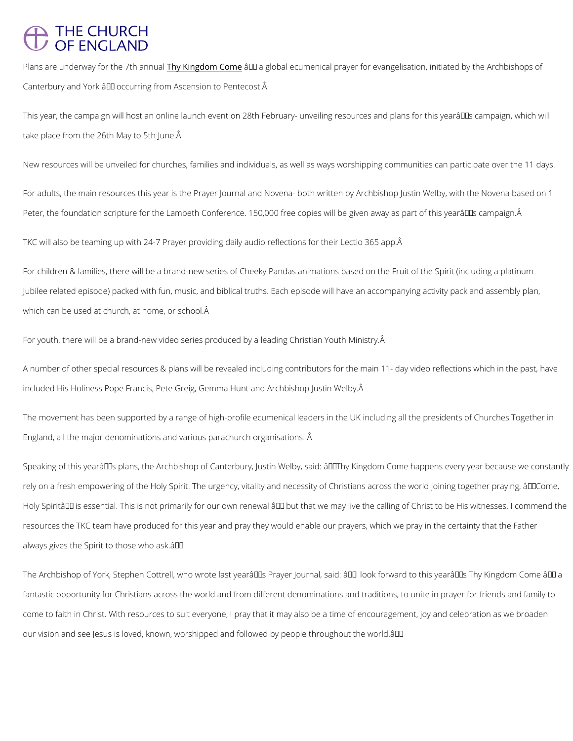## **THE CHURCH** OF ENGLAND

Plans are underway for the y7Khing molomal Gethe global ecumenical prayer for evangelisation, init Canterbury and York  $\hat{a} \in \hat{a}$  occurring from Ascension to Pentecost.  $\hat{A}$ 

This year, the campaign will host an online launch event on 28th February- unveiling resourc take place from the 26th May to 5th June.

New resources will be unveiled for churches, families and individuals, as well as ways worsh

For adults, the main resources this year is the Prayer Journal and Novena- both written by A Peter, the foundation scripture for the Lambeth Conference. 150,000 free copies will be give

TKC will also be teaming up with 24-7 Prayer providing daily audio reflections for their Lecti

For children & families, there will be a brand-new series of Cheeky Pandas animations based Jubilee related episode) packed with fun, music, and biblical truths. Each episode will have which can be used at church, at home, or school.

For youth, there will be a brand-new video series produced by a leading Christian Youth Mini

A number of other special resources & plans will be revealed including contributors for the m included His Holiness Pope Francis, Pete Greig, Gemma Hunt and Archbishop Justin Welby.

The movement has been supported by a range of high-profile ecumenical leaders in the UK in England, all the major denominations and various parachurch organisations. Â

Speaking of this year's plans, the Archbishop of Canterbury, Justin Welby, said: "Thy rely on a fresh empowering of the Holy Spirit. The urgency, vitality and necessity of Christia Holy Spiritâ $\in$  TM is essential. This is not primarily for our own renewal â $\in$  "but that we may live resources the TKC team have produced for this year and pray they would enable our prayers, always gives the Spirit to those who ask.  $a \in \bullet$ 

The Archbishop of York, Stephen Cottrell, who wrote last year's Prayer Journal, said: â€

fantastic opportunity for Christians across the world and from different denominations and tr

come to faith in Christ. With resources to suit everyone, I pray that it may also be a time of

our vision and see Jesus is loved, known, worshipped and followed by people throughout the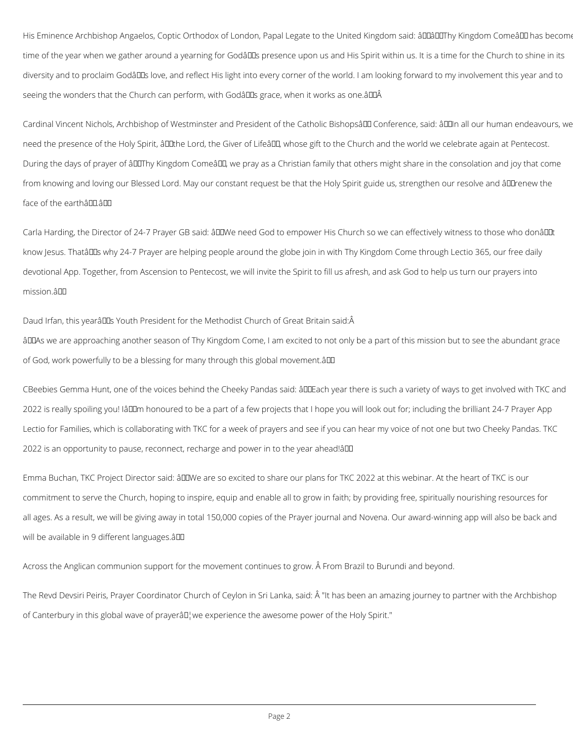His Eminence Archbishop Angaelos, Coptic Orthodox of London, Papal Legate to the United Kingdom said: âDDâDDThy Kingdom Comeâ DD has become time of the year when we gather around a yearning for Godâlls presence upon us and His Spirit within us. It is a time for the Church to shine in its diversity and to proclaim Godâll love, and reflect His light into every corner of the world. I am looking forward to my involvement this year and to seeing the wonders that the Church can perform, with Godâlls grace, when it works as one. âll LA

Cardinal Vincent Nichols, Archbishop of Westminster and President of the Catholic Bishopsâll Conference, said: âll all our human endeavours, we need the presence of the Holy Spirit, âll the Lord, the Giver of Lifeâll, whose gift to the Church and the world we celebrate again at Pentecost. During the days of prayer of âLLTThy Kingdom ComeâLL, we pray as a Christian family that others might share in the consolation and joy that come from knowing and loving our Blessed Lord. May our constant request be that the Holy Spirit guide us, strengthen our resolve and âll Trenew the face of the earthâll. all

Carla Harding, the Director of 24-7 Prayer GB said: âULIWe need God to empower His Church so we can effectively witness to those who donâLILIt know Jesus. Thatâ DDs why 24-7 Prayer are helping people around the globe join in with Thy Kingdom Come through Lectio 365, our free daily devotional App. Together, from Ascension to Pentecost, we will invite the Spirit to fill us afresh, and ask God to help us turn our prayers into mission.â

Daud Irfan, this yearâlles Youth President for the Methodist Church of Great Britain said: Â âDDAs we are approaching another season of Thy Kingdom Come, I am excited to not only be a part of this mission but to see the abundant grace of God, work powerfully to be a blessing for many through this global movement.â

CBeebies Gemma Hunt, one of the voices behind the Cheeky Pandas said: âDDEach year there is such a variety of ways to get involved with TKC and 2022 is really spoiling you! IâDDm honoured to be a part of a few projects that I hope you will look out for; including the brilliant 24-7 Prayer App Lectio for Families, which is collaborating with TKC for a week of prayers and see if you can hear my voice of not one but two Cheeky Pandas. TKC 2022 is an opportunity to pause, reconnect, recharge and power in to the year ahead!â

Emma Buchan, TKC Project Director said: âDDWe are so excited to share our plans for TKC 2022 at this webinar. At the heart of TKC is our commitment to serve the Church, hoping to inspire, equip and enable all to grow in faith; by providing free, spiritually nourishing resources for all ages. As a result, we will be giving away in total 150,000 copies of the Prayer journal and Novena. Our award-winning app will also be back and will be available in 9 different languages.  $\frac{20}{2}$ 

Across the Anglican communion support for the movement continues to grow. Â From Brazil to Burundi and beyond.

The Revd Devsiri Peiris, Prayer Coordinator Church of Ceylon in Sri Lanka, said: Â "It has been an amazing journey to partner with the Archbishop

of Canterbury in this global wave of prayerâll, we experience the awesome power of the Holy Spirit."